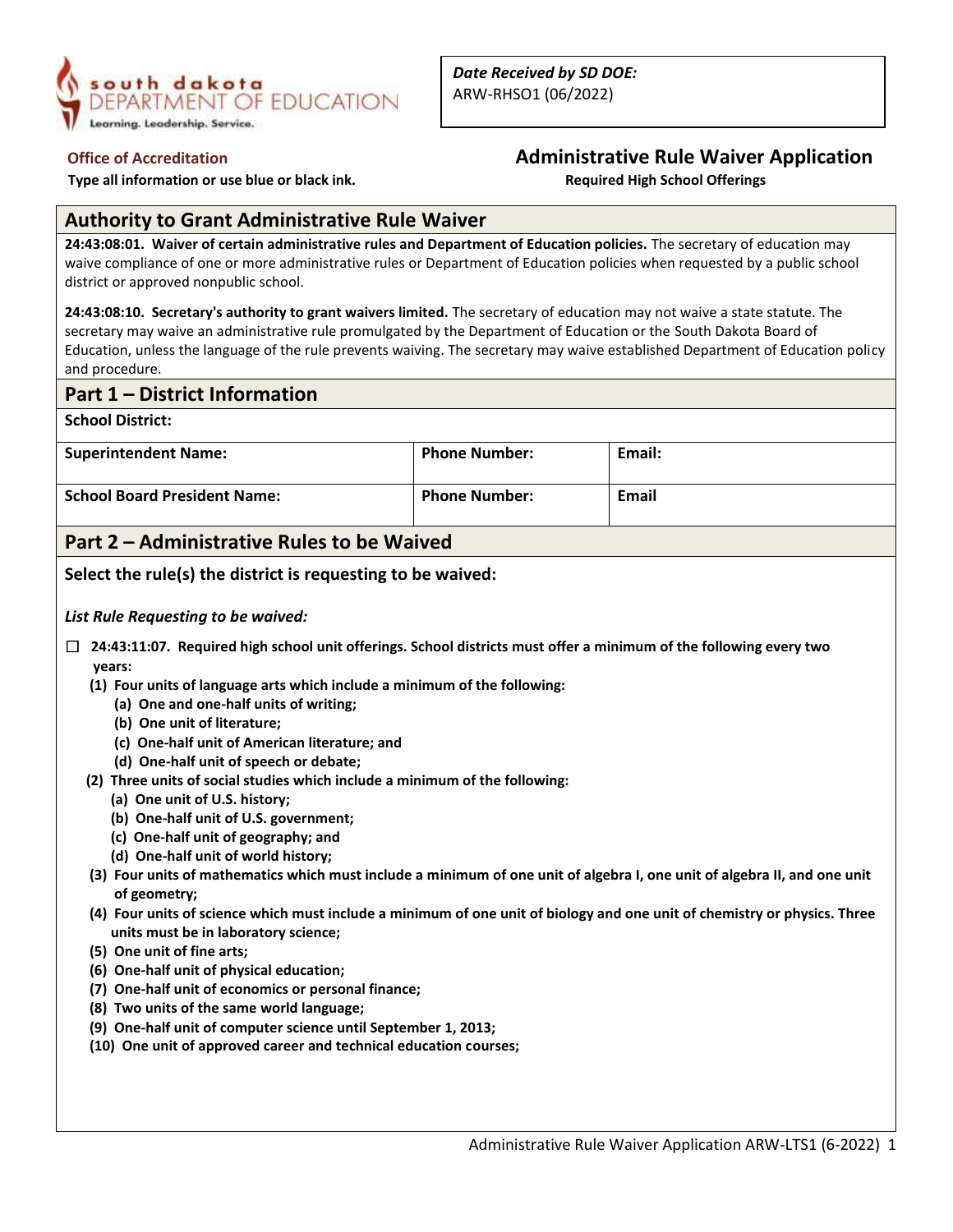

 **Type all information or use blue or black ink. Required High School Offerings** 

## **Office of Accreditation Administrative Rule Waiver Application**

## **Authority to Grant Administrative Rule Waiver**

**24:43:08:01. Waiver of certain administrative rules and Department of Education policies.** The secretary of education may waive compliance of one or more administrative rules or Department of Education policies when requested by a public school district or approved nonpublic school.

**24:43:08:10. Secretary's authority to grant waivers limited.** The secretary of education may not waive a state statute. The secretary may waive an administrative rule promulgated by the Department of Education or the South Dakota Board of Education, unless the language of the rule prevents waiving. The secretary may waive established Department of Education policy and procedure.

## **Part 1 – District Information**

**School District:**

| <b>Superintendent Name:</b>         | <b>Phone Number:</b> | Email:       |
|-------------------------------------|----------------------|--------------|
| <b>School Board President Name:</b> | <b>Phone Number:</b> | <b>Email</b> |

## **Part 2 – Administrative Rules to be Waived**

**Select the rule(s) the district is requesting to be waived:**

*List Rule Requesting to be waived:*

- ☐ **24:43:11:07. Required high school unit offerings. School districts must offer a minimum of the following every two years:**
	- **(1) Four units of language arts which include a minimum of the following:**
		- **(a) One and one-half units of writing;**
		- **(b) One unit of literature;**
		- **(c) One-half unit of American literature; and**
		- **(d) One-half unit of speech or debate;**
	- **(2) Three units of social studies which include a minimum of the following:**
		- **(a) One unit of U.S. history;**
		- **(b) One-half unit of U.S. government;**
		- **(c) One-half unit of geography; and**
		- **(d) One-half unit of world history;**
	- **(3) Four units of mathematics which must include a minimum of one unit of algebra I, one unit of algebra II, and one unit of geometry;**
	- **(4) Four units of science which must include a minimum of one unit of biology and one unit of chemistry or physics. Three units must be in laboratory science;**
	- **(5) One unit of fine arts;**
	- **(6) One-half unit of physical education;**
	- **(7) One-half unit of economics or personal finance;**
	- **(8) Two units of the same world language;**
	- **(9) One-half unit of computer science until September 1, 2013;**
	- **(10) One unit of approved career and technical education courses;**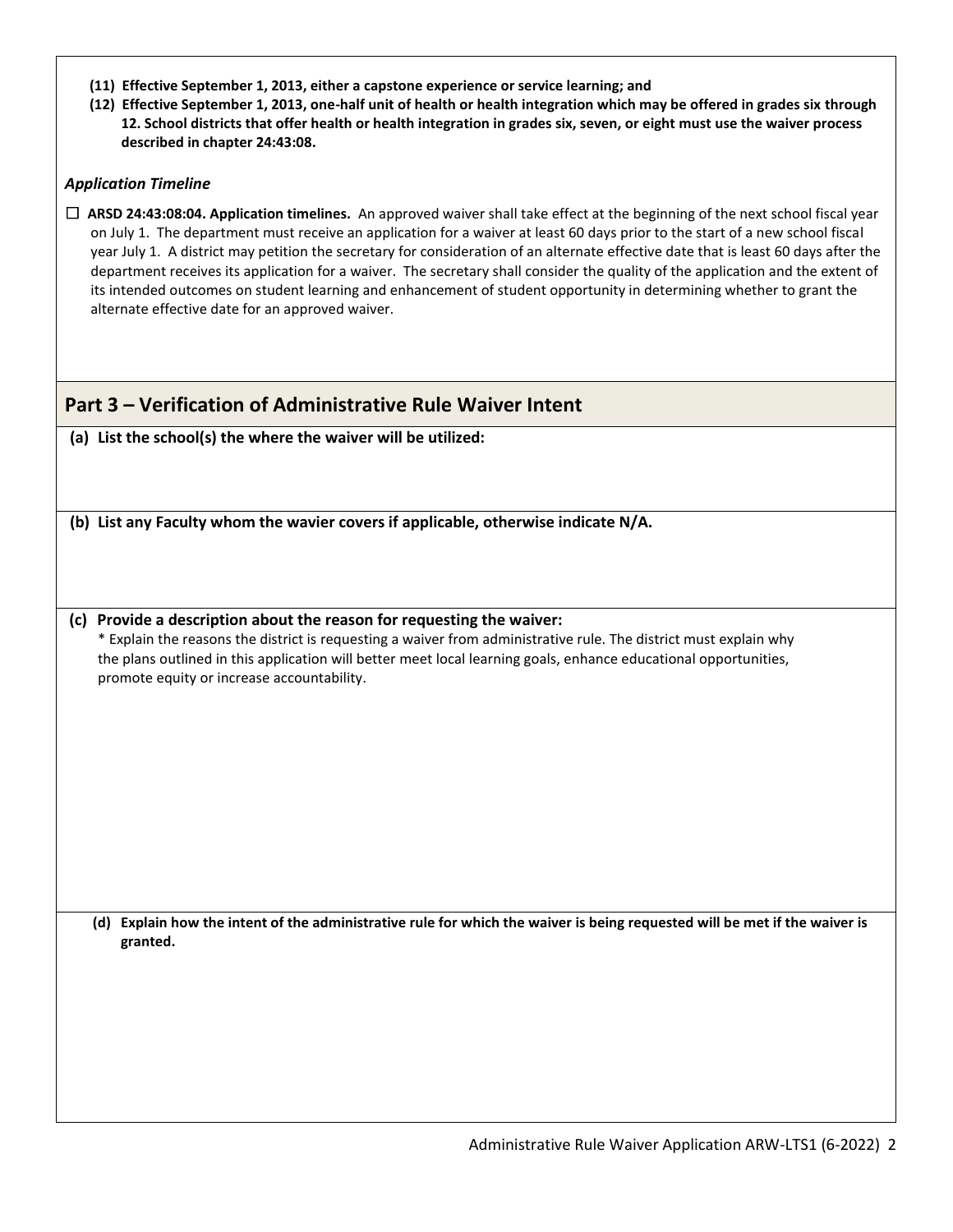| (11) Effective September 1, 2013, either a capstone experience or service learning; and |  |  |  |  |  |
|-----------------------------------------------------------------------------------------|--|--|--|--|--|
|-----------------------------------------------------------------------------------------|--|--|--|--|--|

 **(12) Effective September 1, 2013, one-half unit of health or health integration which may be offered in grades six through 12. School districts that offer health or health integration in grades six, seven, or eight must use the waiver process described in chapter 24:43:08.**

### *Application Timeline*

☐ **ARSD 24:43:08:04. Application timelines.** An approved waiver shall take effect at the beginning of the next school fiscal year on July 1. The department must receive an application for a waiver at least 60 days prior to the start of a new school fiscal year July 1. A district may petition the secretary for consideration of an alternate effective date that is least 60 days after the department receives its application for a waiver. The secretary shall consider the quality of the application and the extent of its intended outcomes on student learning and enhancement of student opportunity in determining whether to grant the alternate effective date for an approved waiver.

## **Part 3 – Verification of Administrative Rule Waiver Intent**

**(a) List the school(s) the where the waiver will be utilized:**

**(b) List any Faculty whom the wavier covers if applicable, otherwise indicate N/A.**

**(c) Provide a description about the reason for requesting the waiver:** \* Explain the reasons the district is requesting a waiver from administrative rule. The district must explain why the plans outlined in this application will better meet local learning goals, enhance educational opportunities, promote equity or increase accountability.

**(d) Explain how the intent of the administrative rule for which the waiver is being requested will be met if the waiver is granted.**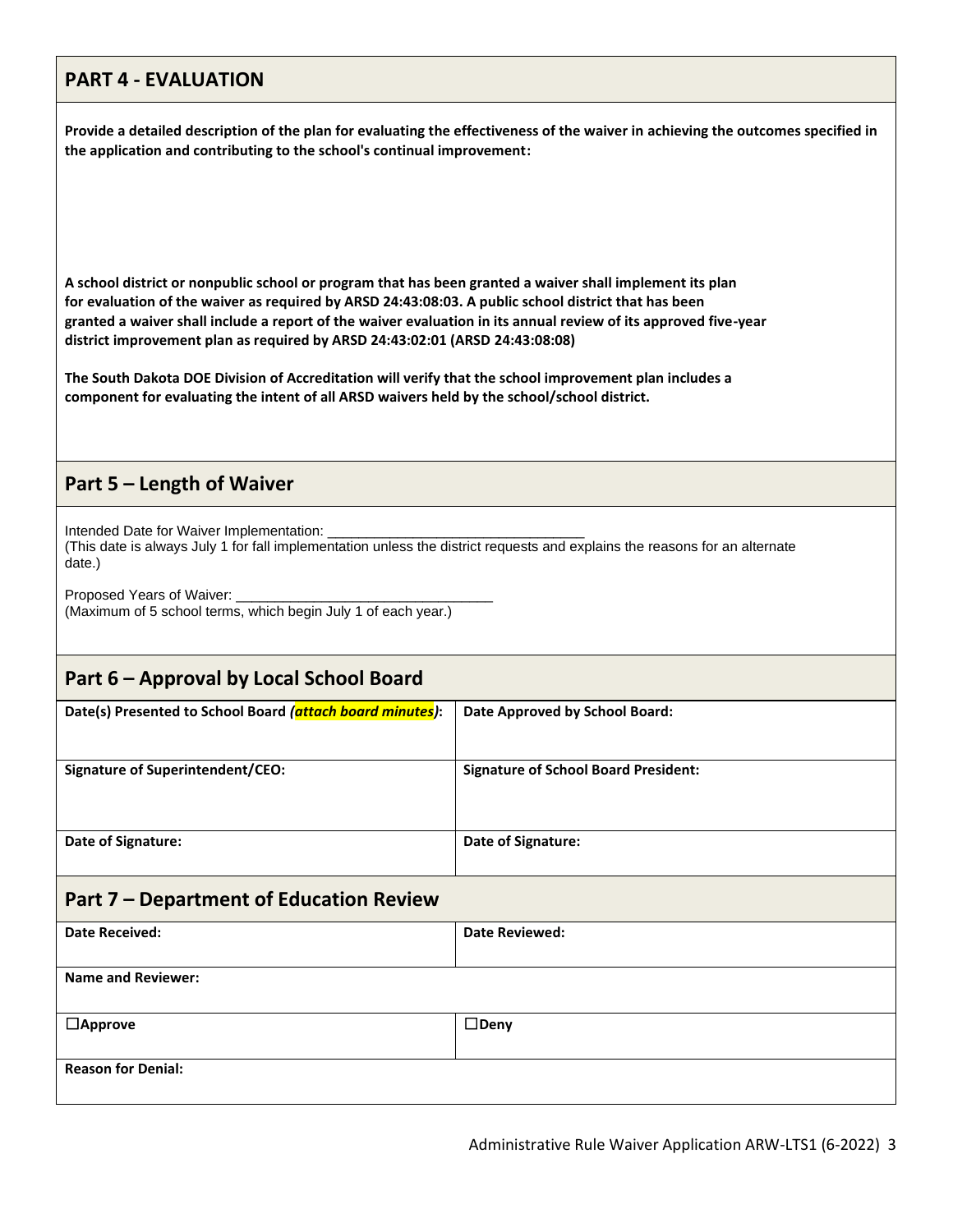# **PART 4 - EVALUATION**

**Provide a detailed description of the plan for evaluating the effectiveness of the waiver in achieving the outcomes specified in the application and contributing to the school's continual improvement:**

**A school district or nonpublic school or program that has been granted a waiver shall implement its plan for evaluation of the waiver as required by ARSD 24:43:08:03. A public school district that has been granted a waiver shall include a report of the waiver evaluation in its annual review of its approved five-year district improvement plan as required by ARSD 24:43:02:01 (ARSD 24:43:08:08)**

**The South Dakota DOE Division of Accreditation will verify that the school improvement plan includes a component for evaluating the intent of all ARSD waivers held by the school/school district.**

## **Part 5 – Length of Waiver**

Intended Date for Waiver Implementation:

(This date is always July 1 for fall implementation unless the district requests and explains the reasons for an alternate date.)

Proposed Years of Waiver: (Maximum of 5 school terms, which begin July 1 of each year.)

# **Part 6 – Approval by Local School Board**

| Date(s) Presented to School Board (attach board minutes): | Date Approved by School Board:              |  |
|-----------------------------------------------------------|---------------------------------------------|--|
| Signature of Superintendent/CEO:                          | <b>Signature of School Board President:</b> |  |
| Date of Signature:                                        | Date of Signature:                          |  |
| Part 7 – Department of Education Review                   |                                             |  |
| <b>Date Received:</b>                                     | <b>Date Reviewed:</b>                       |  |

| <b>Name and Reviewer:</b> |                |  |
|---------------------------|----------------|--|
| $\Box$ Approve            | $\square$ Deny |  |
|                           |                |  |
| <b>Reason for Denial:</b> |                |  |
|                           |                |  |